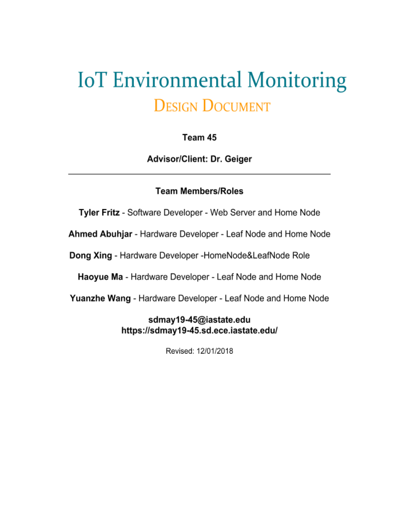# **IoT Environmental Monitoring DESIGN DOCUMENT**

### Team 45

Advisor/Client: Dr. Geiger

#### **Team Members/Roles**

Tyler Fritz - Software Developer - Web Server and Home Node

Ahmed Abuhjar - Hardware Developer - Leaf Node and Home Node

Dong Xing - Hardware Developer -HomeNode&LeafNode Role

Haoyue Ma - Hardware Developer - Leaf Node and Home Node

Yuanzhe Wang - Hardware Developer - Leaf Node and Home Node

### sdmay19-45@iastate.edu https://sdmay19-45.sd.ece.iastate.edu/

Revised: 12/01/2018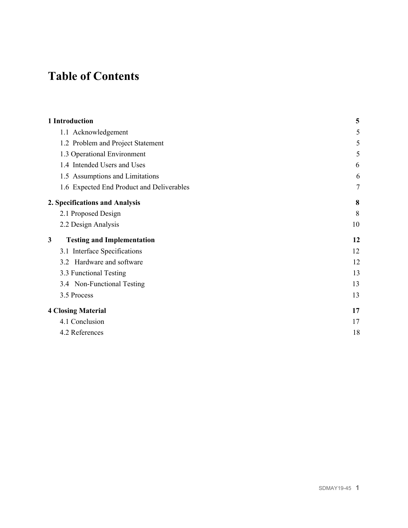## **Table of Contents**

| 5      |
|--------|
| 5      |
| 5      |
| 5      |
| 6      |
| 6      |
| $\tau$ |
| 8      |
| 8      |
| 10     |
| 12     |
| 12     |
| 12     |
| 13     |
| 13     |
| 13     |
| 17     |
| 17     |
| 18     |
|        |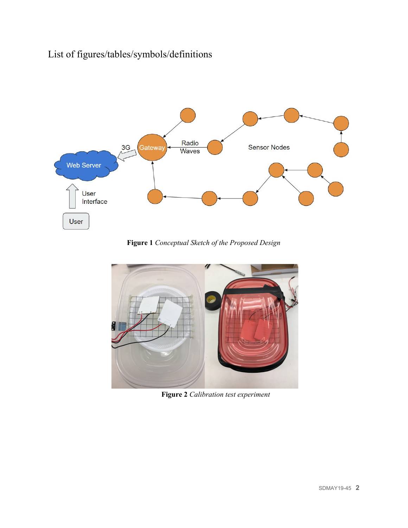### List of figures/tables/symbols/definitions



**Figure 1** *Conceptual Sketch of the Proposed Design*



**Figure 2** *Calibration test experiment*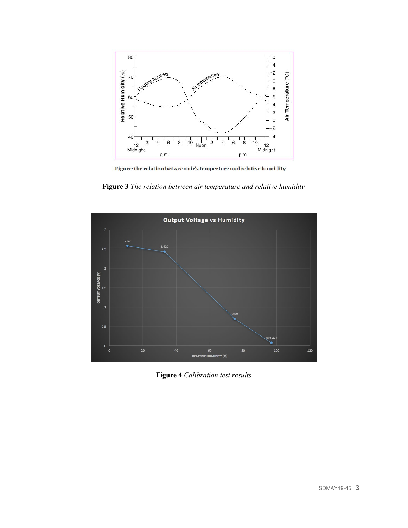

Figure: the relation between air's temperture and relative humidity

**Figure 3** *The relation between air temperature and relative humidity*



**Figure 4** *Calibration test results*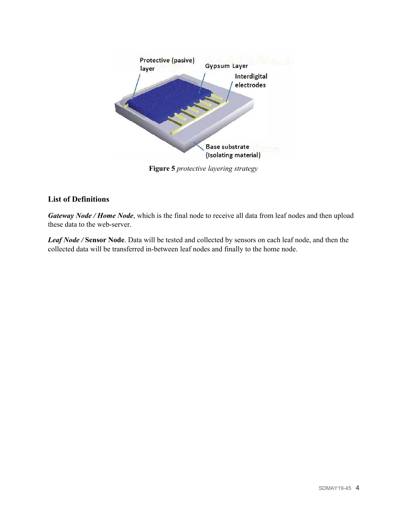

**Figure 5** *protective layering strategy*

#### **List of Definitions**

*Gateway Node / Home Node*, which is the final node to receive all data from leaf nodes and then upload these data to the web-server.

*Leaf Node /* **Sensor Node**. Data will be tested and collected by sensors on each leaf node, and then the collected data will be transferred in-between leaf nodes and finally to the home node.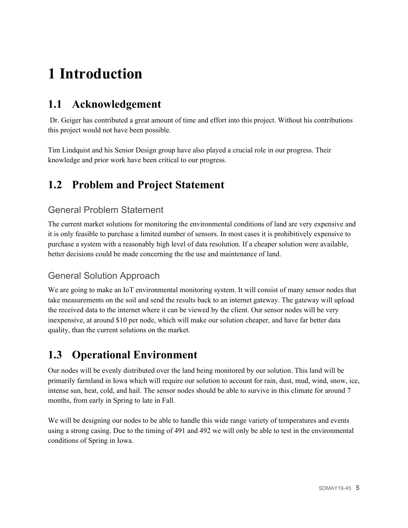## <span id="page-5-0"></span>**1 Introduction**

### <span id="page-5-1"></span>**1.1 Acknowledgement**

Dr. Geiger has contributed a great amount of time and effort into this project. Without his contributions this project would not have been possible.

Tim Lindquist and his Senior Design group have also played a crucial role in our progress. Their knowledge and prior work have been critical to our progress.

### <span id="page-5-2"></span>**1.2 Problem and Project Statement**

### General Problem Statement

The current market solutions for monitoring the environmental conditions of land are very expensive and it is only feasible to purchase a limited number of sensors. In most cases it is prohibitively expensive to purchase a system with a reasonably high level of data resolution. If a cheaper solution were available, better decisions could be made concerning the the use and maintenance of land.

### General Solution Approach

We are going to make an IoT environmental monitoring system. It will consist of many sensor nodes that take measurements on the soil and send the results back to an internet gateway. The gateway will upload the received data to the internet where it can be viewed by the client. Our sensor nodes will be very inexpensive, at around \$10 per node, which will make our solution cheaper, and have far better data quality, than the current solutions on the market.

### <span id="page-5-3"></span>**1.3 Operational Environment**

Our nodes will be evenly distributed over the land being monitored by our solution. This land will be primarily farmland in Iowa which will require our solution to account for rain, dust, mud, wind, snow, ice, intense sun, heat, cold, and hail. The sensor nodes should be able to survive in this climate for around 7 months, from early in Spring to late in Fall.

We will be designing our nodes to be able to handle this wide range variety of temperatures and events using a strong casing. Due to the timing of 491 and 492 we will only be able to test in the environmental conditions of Spring in Iowa.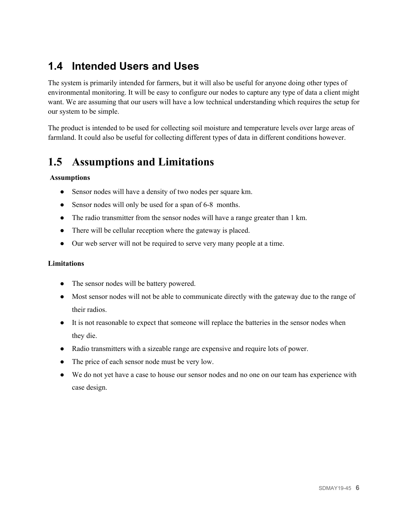### <span id="page-6-0"></span>**1.4 Intended Users and Uses**

The system is primarily intended for farmers, but it will also be useful for anyone doing other types of environmental monitoring. It will be easy to configure our nodes to capture any type of data a client might want. We are assuming that our users will have a low technical understanding which requires the setup for our system to be simple.

The product is intended to be used for collecting soil moisture and temperature levels over large areas of farmland. It could also be useful for collecting different types of data in different conditions however.

### <span id="page-6-1"></span>**1.5 Assumptions and Limitations**

#### **Assumptions**

- Sensor nodes will have a density of two nodes per square km.
- Sensor nodes will only be used for a span of 6-8 months.
- The radio transmitter from the sensor nodes will have a range greater than 1 km.
- There will be cellular reception where the gateway is placed.
- Our web server will not be required to serve very many people at a time.

#### **Limitations**

- The sensor nodes will be battery powered.
- Most sensor nodes will not be able to communicate directly with the gateway due to the range of their radios.
- It is not reasonable to expect that someone will replace the batteries in the sensor nodes when they die.
- Radio transmitters with a sizeable range are expensive and require lots of power.
- The price of each sensor node must be very low.
- We do not yet have a case to house our sensor nodes and no one on our team has experience with case design.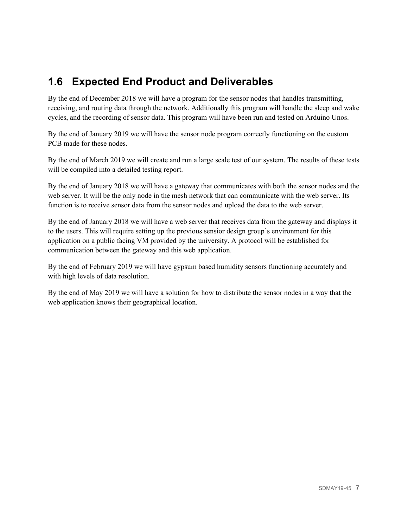### <span id="page-7-0"></span>**1.6 Expected End Product and Deliverables**

By the end of December 2018 we will have a program for the sensor nodes that handles transmitting, receiving, and routing data through the network. Additionally this program will handle the sleep and wake cycles, and the recording of sensor data. This program will have been run and tested on Arduino Unos.

By the end of January 2019 we will have the sensor node program correctly functioning on the custom PCB made for these nodes.

By the end of March 2019 we will create and run a large scale test of our system. The results of these tests will be compiled into a detailed testing report.

By the end of January 2018 we will have a gateway that communicates with both the sensor nodes and the web server. It will be the only node in the mesh network that can communicate with the web server. Its function is to receive sensor data from the sensor nodes and upload the data to the web server.

By the end of January 2018 we will have a web server that receives data from the gateway and displays it to the users. This will require setting up the previous sensior design group's environment for this application on a public facing VM provided by the university. A protocol will be established for communication between the gateway and this web application.

By the end of February 2019 we will have gypsum based humidity sensors functioning accurately and with high levels of data resolution.

By the end of May 2019 we will have a solution for how to distribute the sensor nodes in a way that the web application knows their geographical location.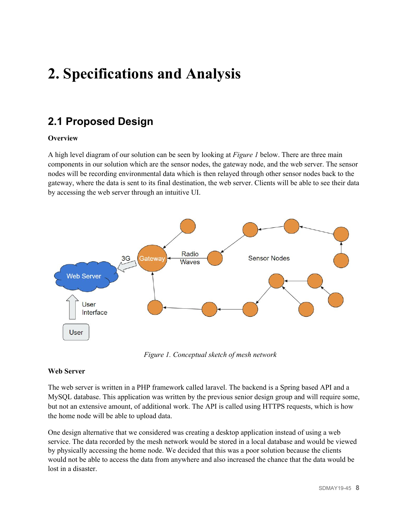## <span id="page-8-0"></span>**2. Specifications and Analysis**

### <span id="page-8-1"></span>**2.1 Proposed Design**

#### **Overview**

A high level diagram of our solution can be seen by looking at *Figure 1* below. There are three main components in our solution which are the sensor nodes, the gateway node, and the web server. The sensor nodes will be recording environmental data which is then relayed through other sensor nodes back to the gateway, where the data is sent to its final destination, the web server. Clients will be able to see their data by accessing the web server through an intuitive UI.



*Figure 1. Conceptual sketch of mesh network*

#### **Web Server**

The web server is written in a PHP framework called laravel. The backend is a Spring based API and a MySQL database. This application was written by the previous senior design group and will require some, but not an extensive amount, of additional work. The API is called using HTTPS requests, which is how the home node will be able to upload data.

One design alternative that we considered was creating a desktop application instead of using a web service. The data recorded by the mesh network would be stored in a local database and would be viewed by physically accessing the home node. We decided that this was a poor solution because the clients would not be able to access the data from anywhere and also increased the chance that the data would be lost in a disaster.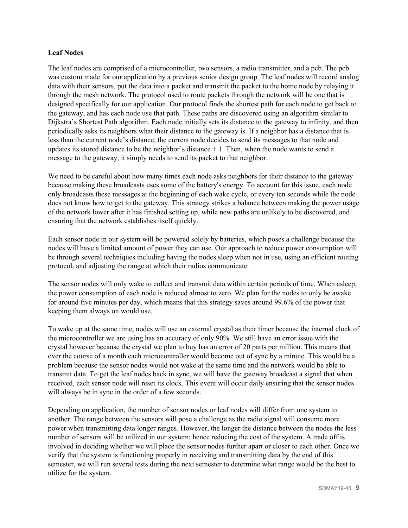#### **Leaf Nodes**

The leaf nodes are comprised of a microcontroller, two sensors, a radio transmitter, and a pcb. The pcb was custom made for our application by a previous senior design group. The leaf nodes will record analog data with their sensors, put the data into a packet and transmit the packet to the home node by relaying it through the mesh network. The protocol used to route packets through the network will be one that is designed specifically for our application. Our protocol finds the shortest path for each node to get back to the gateway, and has each node use that path. These paths are discovered using an algorithm similar to Dijkstra's Shortest Path algorithm. Each node initially sets its distance to the gateway to infinity, and then periodically asks its neighbors what their distance to the gateway is. If a neighbor has a distance that is less than the current node's distance, the current node decides to send its messages to that node and updates its stored distance to be the neighbor's distance  $+1$ . Then, when the node wants to send a message to the gateway, it simply needs to send its packet to that neighbor.

We need to be careful about how many times each node asks neighbors for their distance to the gateway because making these broadcasts uses some of the battery's energy. To account for this issue, each node only broadcasts these messages at the beginning of each wake cycle, or every ten seconds while the node does not know how to get to the gateway. This strategy strikes a balance between making the power usage of the network lower after it has finished setting up, while new paths are unlikely to be discovered, and ensuring that the network establishes itself quickly.

Each sensor node in our system will be powered solely by batteries, which poses a challenge because the nodes will have a limited amount of power they can use. Our approach to reduce power consumption will be through several techniques including having the nodes sleep when not in use, using an efficient routing protocol, and adjusting the range at which their radios communicate.

The sensor nodes will only wake to collect and transmit data within certain periods of time. When asleep, the power consumption of each node is reduced almost to zero. We plan for the nodes to only be awake for around five minutes per day, which means that this strategy saves around 99.6% of the power that keeping them always on would use.

To wake up at the same time, nodes will use an external crystal as their timer because the internal clock of the microcontroller we are using has an accuracy of only 90%. We still have an error issue with the crystal however because the crystal we plan to buy has an error of 20 parts per million. This means that over the course of a month each microcontroller would become out of sync by a minute. This would be a problem because the sensor nodes would not wake at the same time and the network would be able to transmit data. To get the leaf nodes back in sync, we will have the gateway broadcast a signal that when received, each sensor node will reset its clock. This event will occur daily ensuring that the sensor nodes will always be in sync in the order of a few seconds.

Depending on application, the number of sensor nodes or leaf nodes will differ from one system to another. The range between the sensors will pose a challenge as the radio signal will consume more power when transmitting data longer ranges. However, the longer the distance between the nodes the less number of sensors will be utilized in our system; hence reducing the cost of the system. A trade off is involved in deciding whether we will place the sensor nodes further apart or closer to each other. Once we verify that the system is functioning properly in receiving and transmitting data by the end of this semester, we will run several tests during the next semester to determine what range would be the best to utilize for the system.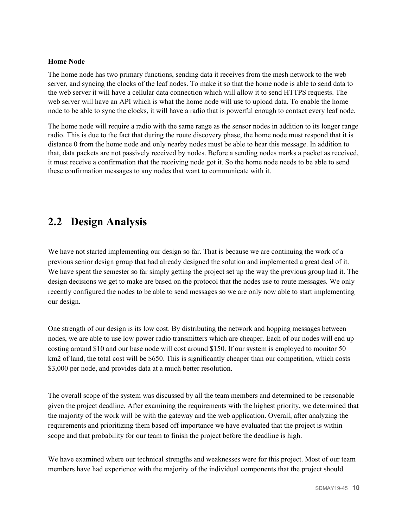#### **Home Node**

The home node has two primary functions, sending data it receives from the mesh network to the web server, and syncing the clocks of the leaf nodes. To make it so that the home node is able to send data to the web server it will have a cellular data connection which will allow it to send HTTPS requests. The web server will have an API which is what the home node will use to upload data. To enable the home node to be able to sync the clocks, it will have a radio that is powerful enough to contact every leaf node.

The home node will require a radio with the same range as the sensor nodes in addition to its longer range radio. This is due to the fact that during the route discovery phase, the home node must respond that it is distance 0 from the home node and only nearby nodes must be able to hear this message. In addition to that, data packets are not passively received by nodes. Before a sending nodes marks a packet as received, it must receive a confirmation that the receiving node got it. So the home node needs to be able to send these confirmation messages to any nodes that want to communicate with it.

### <span id="page-10-0"></span>**2.2 Design Analysis**

We have not started implementing our design so far. That is because we are continuing the work of a previous senior design group that had already designed the solution and implemented a great deal of it. We have spent the semester so far simply getting the project set up the way the previous group had it. The design decisions we get to make are based on the protocol that the nodes use to route messages. We only recently configured the nodes to be able to send messages so we are only now able to start implementing our design.

One strength of our design is its low cost. By distributing the network and hopping messages between nodes, we are able to use low power radio transmitters which are cheaper. Each of our nodes will end up costing around \$10 and our base node will cost around \$150. If our system is employed to monitor 50 km2 of land, the total cost will be \$650. This is significantly cheaper than our competition, which costs \$3,000 per node, and provides data at a much better resolution.

The overall scope of the system was discussed by all the team members and determined to be reasonable given the project deadline. After examining the requirements with the highest priority, we determined that the majority of the work will be with the gateway and the web application. Overall, after analyzing the requirements and prioritizing them based off importance we have evaluated that the project is within scope and that probability for our team to finish the project before the deadline is high.

We have examined where our technical strengths and weaknesses were for this project. Most of our team members have had experience with the majority of the individual components that the project should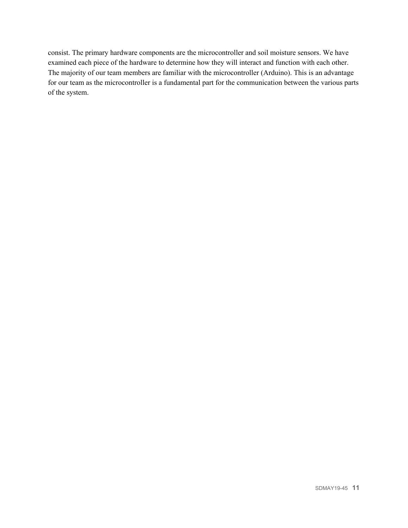consist. The primary hardware components are the microcontroller and soil moisture sensors. We have examined each piece of the hardware to determine how they will interact and function with each other. The majority of our team members are familiar with the microcontroller (Arduino). This is an advantage for our team as the microcontroller is a fundamental part for the communication between the various parts of the system.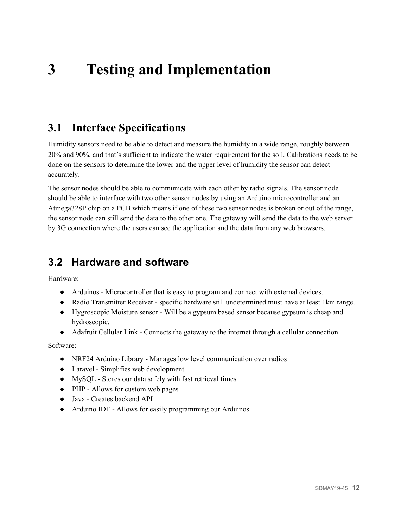## <span id="page-12-0"></span>**3 Testing and Implementation**

### <span id="page-12-1"></span>**3.1 Interface Specifications**

Humidity sensors need to be able to detect and measure the humidity in a wide range, roughly between 20% and 90%, and that's sufficient to indicate the water requirement for the soil. Calibrations needs to be done on the sensors to determine the lower and the upper level of humidity the sensor can detect accurately.

The sensor nodes should be able to communicate with each other by radio signals. The sensor node should be able to interface with two other sensor nodes by using an Arduino microcontroller and an Atmega328P chip on a PCB which means if one of these two sensor nodes is broken or out of the range, the sensor node can still send the data to the other one. The gateway will send the data to the web server by 3G connection where the users can see the application and the data from any web browsers.

### <span id="page-12-2"></span>**3.2 Hardware and software**

Hardware:

- Arduinos Microcontroller that is easy to program and connect with external devices.
- Radio Transmitter Receiver specific hardware still undetermined must have at least 1km range.
- Hygroscopic Moisture sensor Will be a gypsum based sensor because gypsum is cheap and hydroscopic.
- Adafruit Cellular Link Connects the gateway to the internet through a cellular connection.

Software:

- NRF24 Arduino Library Manages low level communication over radios
- Laravel Simplifies web development
- MySQL Stores our data safely with fast retrieval times
- PHP Allows for custom web pages
- Java Creates backend API
- Arduino IDE Allows for easily programming our Arduinos.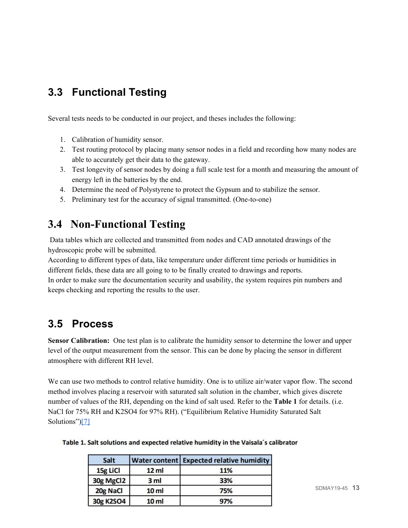### <span id="page-13-0"></span>**3.3 Functional Testing**

Several tests needs to be conducted in our project, and theses includes the following:

- 1. Calibration of humidity sensor.
- 2. Test routing protocol by placing many sensor nodes in a field and recording how many nodes are able to accurately get their data to the gateway.
- 3. Test longevity of sensor nodes by doing a full scale test for a month and measuring the amount of energy left in the batteries by the end.
- 4. Determine the need of Polystyrene to protect the Gypsum and to stabilize the sensor.
- 5. Preliminary test for the accuracy of signal transmitted. (One-to-one)

### <span id="page-13-1"></span>**3.4 Non-Functional Testing**

Data tables which are collected and transmitted from nodes and CAD annotated drawings of the hydroscopic probe will be submitted.

According to different types of data, like temperature under different time periods or humidities in different fields, these data are all going to to be finally created to drawings and reports.

In order to make sure the documentation security and usability, the system requires pin numbers and keeps checking and reporting the results to the user.

### <span id="page-13-2"></span>**3.5 Process**

**Sensor Calibration:** One test plan is to calibrate the humidity sensor to determine the lower and upper level of the output measurement from the sensor. This can be done by placing the sensor in different atmosphere with different RH level.

We can use two methods to control relative humidity. One is to utilize air/water vapor flow. The second method involves placing a reservoir with saturated salt solution in the chamber, which gives discrete number of values of the RH, depending on the kind of salt used. Refer to the **Table 1** for details. (i.e. NaCl for 75% RH and K2SO4 for 97% RH). ("Equilibrium Relative Humidity Saturated Salt Solutions"[\)\[7\]](https://www.omega.com/temperature/z/pdf/z103.pdf)

| Salt      |                  | <b>Water content Expected relative humidity</b> |
|-----------|------------------|-------------------------------------------------|
| 15g LiCl  | 12 <sub>ml</sub> | 11%                                             |
| 30g MgCl2 | 3 <sub>ml</sub>  | 33%                                             |
| 20g NaCl  | 10 <sub>ml</sub> | 75%                                             |
| 30g K2SO4 | 10 <sub>ml</sub> | 97%                                             |

#### Table 1. Salt solutions and expected relative humidity in the Vaisala's calibrator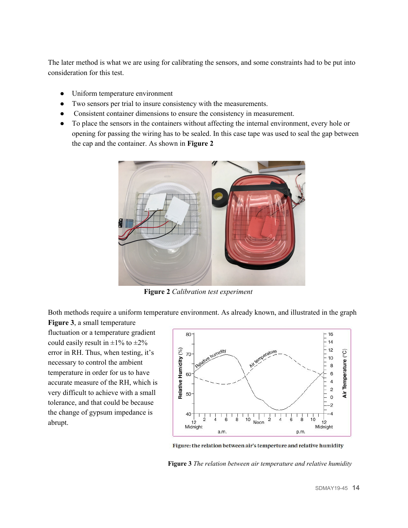The later method is what we are using for calibrating the sensors, and some constraints had to be put into consideration for this test.

- Uniform temperature environment
- Two sensors per trial to insure consistency with the measurements.
- Consistent container dimensions to ensure the consistency in measurement.
- To place the sensors in the containers without affecting the internal environment, every hole or opening for passing the wiring has to be sealed. In this case tape was used to seal the gap between the cap and the container. As shown in **Figure 2**



**Figure 2** *Calibration test experiment*

Both methods require a uniform temperature environment. As already known, and illustrated in the graph

**Figure 3**, a small temperature fluctuation or a temperature gradient could easily result in  $\pm 1\%$  to  $\pm 2\%$ error in RH. Thus, when testing, it's necessary to control the ambient temperature in order for us to have accurate measure of the RH, which is very difficult to achieve with a small tolerance, and that could be because the change of gypsum impedance is abrupt.



Figure: the relation between air's temperture and relative humidity

**Figure 3** *The relation between air temperature and relative humidity*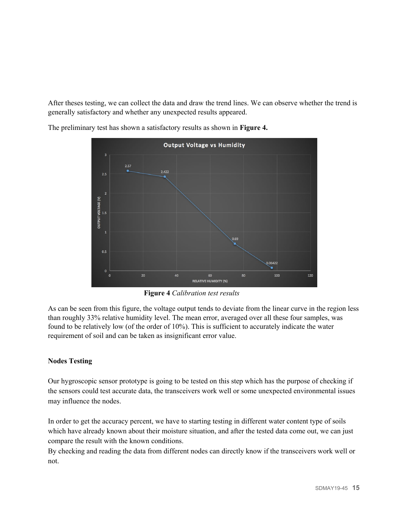After theses testing, we can collect the data and draw the trend lines. We can observe whether the trend is generally satisfactory and whether any unexpected results appeared.



The preliminary test has shown a satisfactory results as shown in **Figure 4.**

**Figure 4** *Calibration test results*

As can be seen from this figure, the voltage output tends to deviate from the linear curve in the region less than roughly 33% relative humidity level. The mean error, averaged over all these four samples, was found to be relatively low (of the order of 10%). This is sufficient to accurately indicate the water requirement of soil and can be taken as insignificant error value.

#### **Nodes Testing**

Our hygroscopic sensor prototype is going to be tested on this step which has the purpose of checking if the sensors could test accurate data, the transceivers work well or some unexpected environmental issues may influence the nodes.

In order to get the accuracy percent, we have to starting testing in different water content type of soils which have already known about their moisture situation, and after the tested data come out, we can just compare the result with the known conditions.

By checking and reading the data from different nodes can directly know if the transceivers work well or not.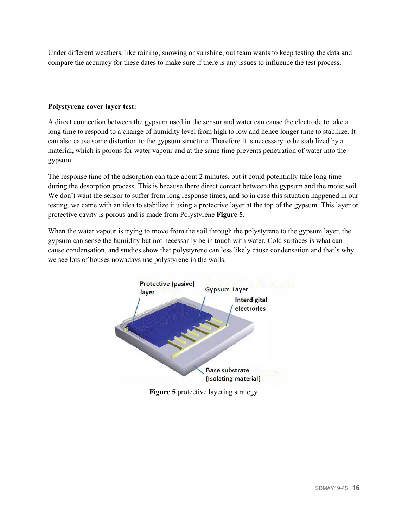Under different weathers, like raining, snowing or sunshine, out team wants to keep testing the data and compare the accuracy for these dates to make sure if there is any issues to influence the test process.

#### **Polystyrene cover layer test:**

A direct connection between the gypsum used in the sensor and water can cause the electrode to take a long time to respond to a change of humidity level from high to low and hence longer time to stabilize. It can also cause some distortion to the gypsum structure. Therefore it is necessary to be stabilized by a material, which is porous for water vapour and at the same time prevents penetration of water into the gypsum.

The response time of the adsorption can take about 2 minutes, but it could potentially take long time during the desorption process. This is because there direct contact between the gypsum and the moist soil. We don't want the sensor to suffer from long response times, and so in case this situation happened in our testing, we came with an idea to stabilize it using a protective layer at the top of the gypsum. This layer or protective cavity is porous and is made from Polystyrene **Figure 5**.

When the water vapour is trying to move from the soil through the polystyrene to the gypsum layer, the gypsum can sense the humidity but not necessarily be in touch with water. Cold surfaces is what can cause condensation, and studies show that polystyrene can less likely cause condensation and that's why we see lots of houses nowadays use polystyrene in the walls.



**Figure 5** protective layering strategy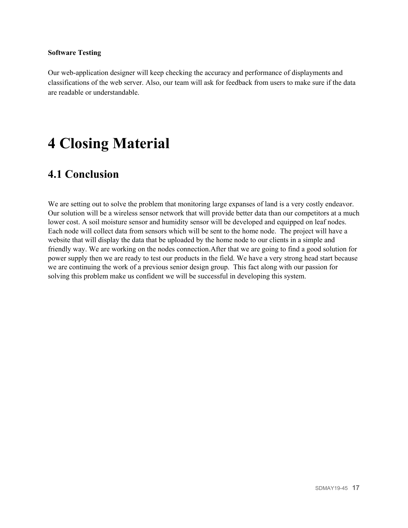#### **Software Testing**

Our web-application designer will keep checking the accuracy and performance of displayments and classifications of the web server. Also, our team will ask for feedback from users to make sure if the data are readable or understandable.

## <span id="page-17-0"></span>**4 Closing Material**

### <span id="page-17-1"></span>**4.1 Conclusion**

We are setting out to solve the problem that monitoring large expanses of land is a very costly endeavor. Our solution will be a wireless sensor network that will provide better data than our competitors at a much lower cost. A soil moisture sensor and humidity sensor will be developed and equipped on leaf nodes. Each node will collect data from sensors which will be sent to the home node. The project will have a website that will display the data that be uploaded by the home node to our clients in a simple and friendly way. We are working on the nodes connection.After that we are going to find a good solution for power supply then we are ready to test our products in the field. We have a very strong head start because we are continuing the work of a previous senior design group. This fact along with our passion for solving this problem make us confident we will be successful in developing this system.